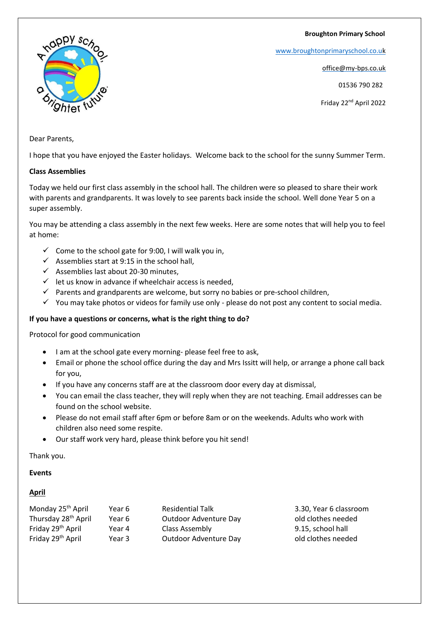#### **Broughton Primary School**

[www.broughtonprimaryschool.co.u](http://www.broughtonprimaryschool.co.u/)[k](http://www.broughtonprimaryschool.co.uk/)

office@my-bps.co.uk

01536 790 282

Friday 22nd April 2022



Dear Parents,

I hope that you have enjoyed the Easter holidays. Welcome back to the school for the sunny Summer Term.

### **Class Assemblies**

Today we held our first class assembly in the school hall. The children were so pleased to share their work with parents and grandparents. It was lovely to see parents back inside the school. Well done Year 5 on a super assembly.

You may be attending a class assembly in the next few weeks. Here are some notes that will help you to feel at home:

- $\checkmark$  Come to the school gate for 9:00, I will walk you in,
- $\checkmark$  Assemblies start at 9:15 in the school hall.
- ✓ Assemblies last about 20-30 minutes,
- $\checkmark$  let us know in advance if wheelchair access is needed,
- $\checkmark$  Parents and grandparents are welcome, but sorry no babies or pre-school children,
- ✓ You may take photos or videos for family use only please do not post any content to social media.

# **If you have a questions or concerns, what is the right thing to do?**

Protocol for good communication

- I am at the school gate every morning- please feel free to ask,
- Email or phone the school office during the day and Mrs Issitt will help, or arrange a phone call back for you,
- If you have any concerns staff are at the classroom door every day at dismissal,
- You can email the class teacher, they will reply when they are not teaching. Email addresses can be found on the school website.
- Please do not email staff after 6pm or before 8am or on the weekends. Adults who work with children also need some respite.
- Our staff work very hard, please think before you hit send!

Thank you.

#### **Events**

# **April**

| Monday 25 <sup>th</sup> April   | Year 6 | <b>Residential Talk</b> | 3.30, Year 6 classroom |
|---------------------------------|--------|-------------------------|------------------------|
| Thursday 28 <sup>th</sup> April | Year 6 | Outdoor Adventure Day   | old clothes needed     |
| Friday 29 <sup>th</sup> April   | Year 4 | Class Assembly          | 9.15, school hall      |
| Friday 29 <sup>th</sup> April   | Year 3 | Outdoor Adventure Day   | old clothes needed     |